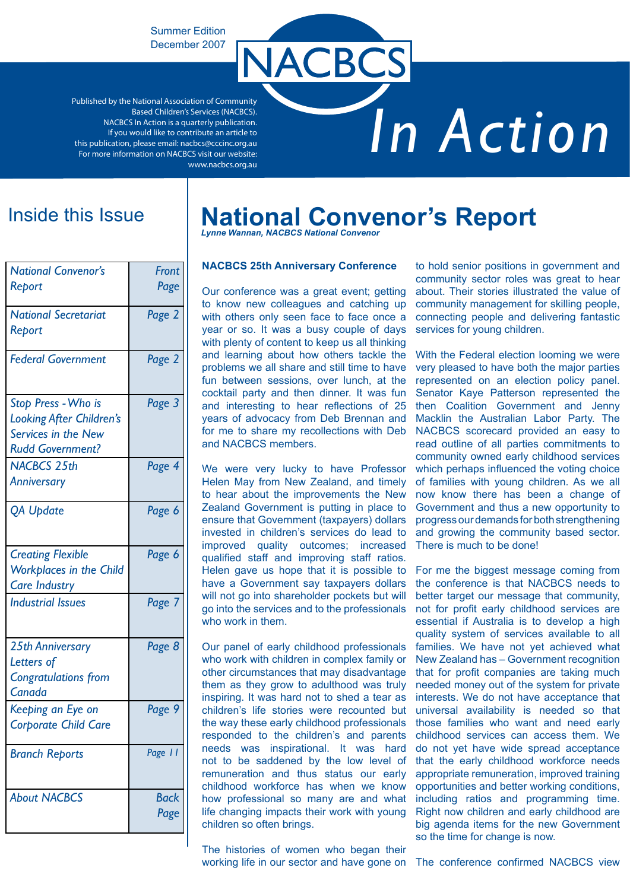Summer Edition December 2007

Published by the National Association of Community Based Children's Services (NACBCS). NACBCS In Action is a quarterly publication. If you would like to contribute an article to this publication, please email: nacbcs@cccinc.org.au For more information on NACBCS visit our website: www.nacbcs.org.au

# *In Action*

| <b>National Convenor's</b><br>Report                                                              | Front<br>Page |
|---------------------------------------------------------------------------------------------------|---------------|
| <b>National Secretariat</b><br>Report                                                             | Page 2        |
| <b>Federal Government</b>                                                                         | Page 2        |
| Stop Press - Who is<br>Looking After Children's<br>Services in the New<br><b>Rudd Government?</b> | Page 3        |
| <b>NACBCS 25th</b><br><b>Anniversary</b>                                                          | Page 4        |
| <b>QA Update</b>                                                                                  | Page 6        |
| <b>Creating Flexible</b><br><b>Workplaces in the Child</b><br><b>Care Industry</b>                | Page 6        |
| <b>Industrial Issues</b>                                                                          | Page 7        |
| <b>25th Anniversary</b><br>Letters of<br><b>Congratulations from</b><br>Canada                    | Page 8        |
| Keeping an Eye on<br><b>Corporate Child Care</b>                                                  | Page 9        |
| <b>Branch Reports</b>                                                                             | Page 11       |
| <b>About NACBCS</b>                                                                               | Back<br>Page  |

# Inside this Issue **National Convenor's Report**

**ACBCS** 

*Lynne Wannan, NACBCS National Convenor*

#### **NACBCS 25th Anniversary Conference**

Our conference was a great event; getting to know new colleagues and catching up with others only seen face to face once a year or so. It was a busy couple of days with plenty of content to keep us all thinking and learning about how others tackle the problems we all share and still time to have fun between sessions, over lunch, at the cocktail party and then dinner. It was fun and interesting to hear reflections of 25 years of advocacy from Deb Brennan and for me to share my recollections with Deb and NACBCS members.

We were very lucky to have Professor Helen May from New Zealand, and timely to hear about the improvements the New Zealand Government is putting in place to ensure that Government (taxpayers) dollars invested in children's services do lead to improved quality outcomes; increased qualified staff and improving staff ratios. Helen gave us hope that it is possible to have a Government say taxpayers dollars will not go into shareholder pockets but will go into the services and to the professionals who work in them.

Our panel of early childhood professionals who work with children in complex family or other circumstances that may disadvantage them as they grow to adulthood was truly inspiring. It was hard not to shed a tear as children's life stories were recounted but the way these early childhood professionals responded to the children's and parents needs was inspirational. It was hard not to be saddened by the low level of remuneration and thus status our early childhood workforce has when we know how professional so many are and what life changing impacts their work with young children so often brings.

The histories of women who began their working life in our sector and have gone on The conference confirmed NACBCS view

to hold senior positions in government and community sector roles was great to hear about. Their stories illustrated the value of community management for skilling people, connecting people and delivering fantastic services for young children.

With the Federal election looming we were very pleased to have both the major parties represented on an election policy panel. Senator Kaye Patterson represented the then Coalition Government and Jenny Macklin the Australian Labor Party. The NACBCS scorecard provided an easy to read outline of all parties commitments to community owned early childhood services which perhaps influenced the voting choice of families with young children. As we all now know there has been a change of Government and thus a new opportunity to progress our demands for both strengthening and growing the community based sector. There is much to be done!

For me the biggest message coming from the conference is that NACBCS needs to better target our message that community, not for profit early childhood services are essential if Australia is to develop a high quality system of services available to all families. We have not yet achieved what New Zealand has – Government recognition that for profit companies are taking much needed money out of the system for private interests. We do not have acceptance that universal availability is needed so that those families who want and need early childhood services can access them. We do not yet have wide spread acceptance that the early childhood workforce needs appropriate remuneration, improved training opportunities and better working conditions, including ratios and programming time. Right now children and early childhood are big agenda items for the new Government so the time for change is now.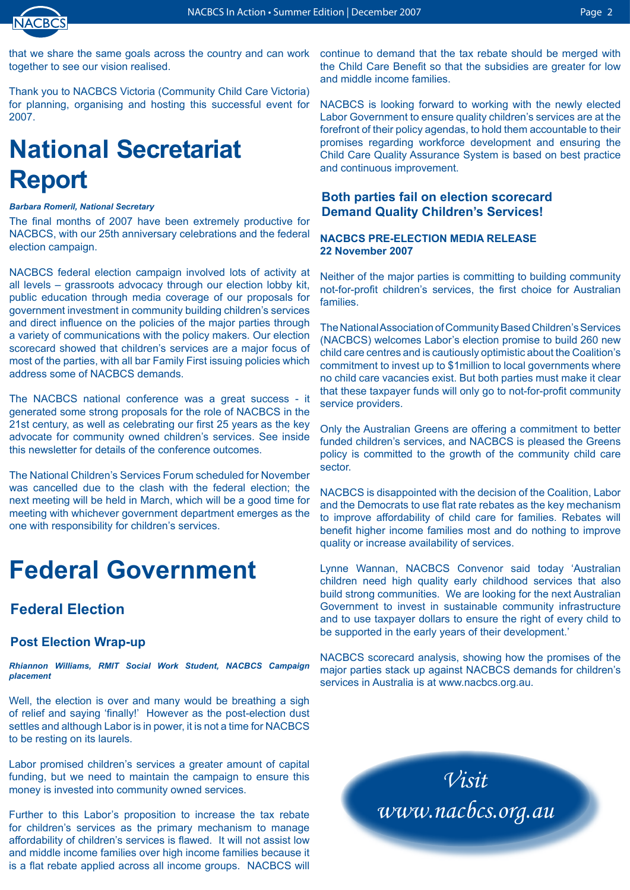

that we share the same goals across the country and can work together to see our vision realised.

Thank you to NACBCS Victoria (Community Child Care Victoria) for planning, organising and hosting this successful event for 2007.

# **National Secretariat Report**

#### *Barbara Romeril, National Secretary*

The final months of 2007 have been extremely productive for NACBCS, with our 25th anniversary celebrations and the federal election campaign.

NACBCS federal election campaign involved lots of activity at all levels – grassroots advocacy through our election lobby kit, public education through media coverage of our proposals for government investment in community building children's services and direct influence on the policies of the major parties through a variety of communications with the policy makers. Our election scorecard showed that children's services are a major focus of most of the parties, with all bar Family First issuing policies which address some of NACBCS demands.

The NACBCS national conference was a great success - it generated some strong proposals for the role of NACBCS in the 21st century, as well as celebrating our first 25 years as the key advocate for community owned children's services. See inside this newsletter for details of the conference outcomes.

The National Children's Services Forum scheduled for November was cancelled due to the clash with the federal election; the next meeting will be held in March, which will be a good time for meeting with whichever government department emerges as the one with responsibility for children's services.

# **Federal Government**

### **Federal Election**

### **Post Election Wrap-up**

*Rhiannon Williams, RMIT Social Work Student, NACBCS Campaign placement*

Well, the election is over and many would be breathing a sigh of relief and saying 'finally!' However as the post-election dust settles and although Labor is in power, it is not a time for NACBCS to be resting on its laurels.

Labor promised children's services a greater amount of capital funding, but we need to maintain the campaign to ensure this money is invested into community owned services.

Further to this Labor's proposition to increase the tax rebate for children's services as the primary mechanism to manage affordability of children's services is flawed. It will not assist low and middle income families over high income families because it is a flat rebate applied across all income groups. NACBCS will continue to demand that the tax rebate should be merged with the Child Care Benefit so that the subsidies are greater for low and middle income families.

NACBCS is looking forward to working with the newly elected Labor Government to ensure quality children's services are at the forefront of their policy agendas, to hold them accountable to their promises regarding workforce development and ensuring the Child Care Quality Assurance System is based on best practice and continuous improvement.

### **Both parties fail on election scorecard Demand Quality Children's Services!**

#### **NACBCS PRE-ELECTION MEDIA RELEASE 22 November 2007**

Neither of the major parties is committing to building community not-for-profit children's services, the first choice for Australian families.

The National Association of Community Based Children's Services (NACBCS) welcomes Labor's election promise to build 260 new child care centres and is cautiously optimistic about the Coalition's commitment to invest up to \$1million to local governments where no child care vacancies exist. But both parties must make it clear that these taxpayer funds will only go to not-for-profit community service providers.

Only the Australian Greens are offering a commitment to better funded children's services, and NACBCS is pleased the Greens policy is committed to the growth of the community child care sector.

NACBCS is disappointed with the decision of the Coalition, Labor and the Democrats to use flat rate rebates as the key mechanism to improve affordability of child care for families. Rebates will benefit higher income families most and do nothing to improve quality or increase availability of services.

Lynne Wannan, NACBCS Convenor said today 'Australian children need high quality early childhood services that also build strong communities. We are looking for the next Australian Government to invest in sustainable community infrastructure and to use taxpayer dollars to ensure the right of every child to be supported in the early years of their development.'

NACBCS scorecard analysis, showing how the promises of the major parties stack up against NACBCS demands for children's services in Australia is at www.nacbcs.org.au.

> *Visit www.nacbcs.org.au*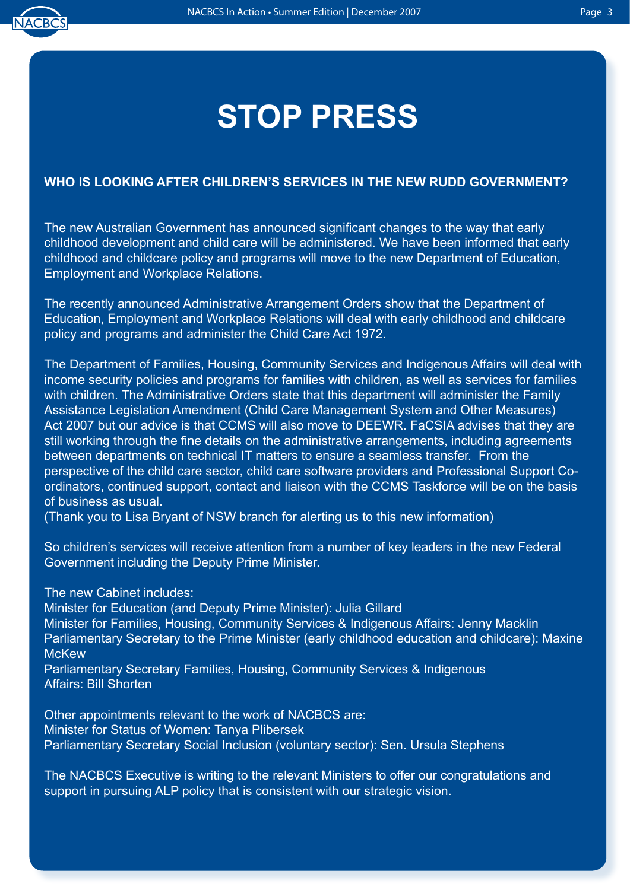

# **STOP PRESS**

### **WHO IS LOOKING AFTER CHILDREN'S SERVICES IN THE NEW RUDD GOVERNMENT?**

The new Australian Government has announced significant changes to the way that early childhood development and child care will be administered. We have been informed that early childhood and childcare policy and programs will move to the new Department of Education, Employment and Workplace Relations.

The recently announced Administrative Arrangement Orders show that the Department of Education, Employment and Workplace Relations will deal with early childhood and childcare policy and programs and administer the Child Care Act 1972.

The Department of Families, Housing, Community Services and Indigenous Affairs will deal with income security policies and programs for families with children, as well as services for families with children. The Administrative Orders state that this department will administer the Family Assistance Legislation Amendment (Child Care Management System and Other Measures) Act 2007 but our advice is that CCMS will also move to DEEWR. FaCSIA advises that they are still working through the fine details on the administrative arrangements, including agreements between departments on technical IT matters to ensure a seamless transfer. From the perspective of the child care sector, child care software providers and Professional Support Coordinators, continued support, contact and liaison with the CCMS Taskforce will be on the basis of business as usual.

(Thank you to Lisa Bryant of NSW branch for alerting us to this new information)

So children's services will receive attention from a number of key leaders in the new Federal Government including the Deputy Prime Minister.

The new Cabinet includes:

Minister for Education (and Deputy Prime Minister): Julia Gillard

Minister for Families, Housing, Community Services & Indigenous Affairs: Jenny Macklin Parliamentary Secretary to the Prime Minister (early childhood education and childcare): Maxine **McKew** 

Parliamentary Secretary Families, Housing, Community Services & Indigenous Affairs: Bill Shorten

Other appointments relevant to the work of NACBCS are: Minister for Status of Women: Tanya Plibersek Parliamentary Secretary Social Inclusion (voluntary sector): Sen. Ursula Stephens

The NACBCS Executive is writing to the relevant Ministers to offer our congratulations and support in pursuing ALP policy that is consistent with our strategic vision.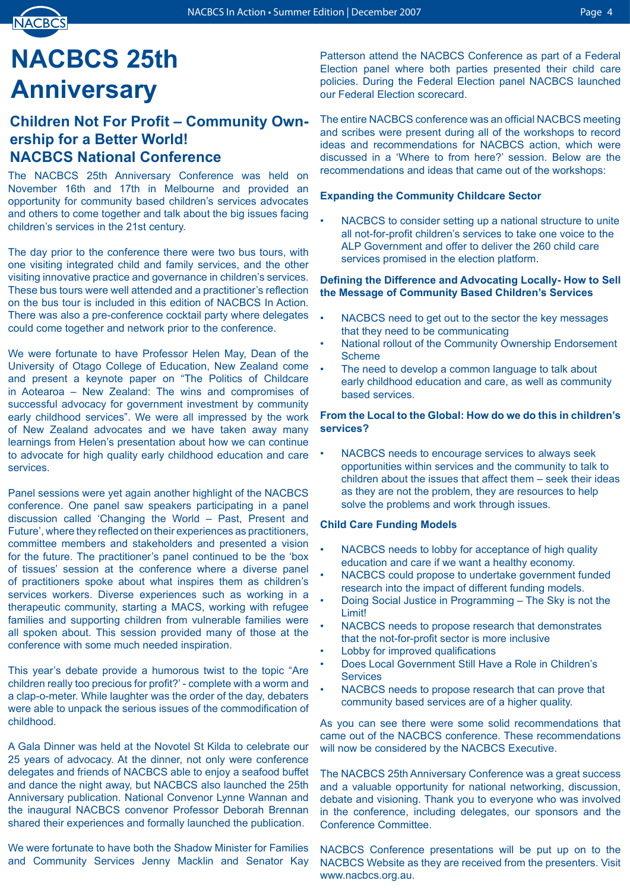# **NACBCS 25th Anniversary**

### **Children Not For Profit – Community Ownership for a Better World! NACBCS National Conference**

The NACBCS 25th Anniversary Conference was held on November 16th and 17th in Melbourne and provided an opportunity for community based children's services advocates and others to come together and talk about the big issues facing children's services in the 21st century.

The day prior to the conference there were two bus tours, with one visiting integrated child and family services, and the other visiting innovative practice and governance in children's services. These bus tours were well attended and a practitioner's reflection on the bus tour is included in this edition of NACBCS In Action. There was also a pre-conference cocktail party where delegates could come together and network prior to the conference.

We were fortunate to have Professor Helen May, Dean of the University of Otago College of Education, New Zealand come and present a keynote paper on "The Politics of Childcare in Aotearoa – New Zealand: The wins and compromises of successful advocacy for government investment by community early childhood services". We were all impressed by the work of New Zealand advocates and we have taken away many learnings from Helen's presentation about how we can continue to advocate for high quality early childhood education and care services.

Panel sessions were yet again another highlight of the NACBCS conference. One panel saw speakers participating in a panel discussion called 'Changing the World – Past, Present and Future', where they reflected on their experiences as practitioners, committee members and stakeholders and presented a vision for the future. The practitioner's panel continued to be the 'box of tissues' session at the conference where a diverse panel of practitioners spoke about what inspires them as children's services workers. Diverse experiences such as working in a therapeutic community, starting a MACS, working with refugee families and supporting children from vulnerable families were all spoken about. This session provided many of those at the conference with some much needed inspiration.

This year's debate provide a humorous twist to the topic "Are children really too precious for profit?' - complete with a worm and a clap-o-meter. While laughter was the order of the day, debaters were able to unpack the serious issues of the commodification of childhood.

A Gala Dinner was held at the Novotel St Kilda to celebrate our 25 years of advocacy. At the dinner, not only were conference delegates and friends of NACBCS able to enjoy a seafood buffet and dance the night away, but NACBCS also launched the 25th Anniversary publication. National Convenor Lynne Wannan and the inaugural NACBCS convenor Professor Deborah Brennan shared their experiences and formally launched the publication.

We were fortunate to have both the Shadow Minister for Families and Community Services Jenny Macklin and Senator Kay Patterson attend the NACBCS Conference as part of a Federal Election panel where both parties presented their child care policies. During the Federal Election panel NACBCS launched our Federal Election scorecard.

The entire NACBCS conference was an official NACBCS meeting and scribes were present during all of the workshops to record ideas and recommendations for NACBCS action, which were discussed in a 'Where to from here?' session. Below are the recommendations and ideas that came out of the workshops:

#### **Expanding the Community Childcare Sector**

NACBCS to consider setting up a national structure to unite all not-for-profit children's services to take one voice to the ALP Government and offer to deliver the 260 child care services promised in the election platform. •

#### **Defining the Difference and Advocating Locally- How to Sell the Message of Community Based Children's Services**

- NACBCS need to get out to the sector the key messages that they need to be communicating •
- National rollout of the Community Ownership Endorsement Scheme •
- The need to develop a common language to talk about early childhood education and care, as well as community based services. •

#### **From the Local to the Global: How do we do this in children's services?**

NACBCS needs to encourage services to always seek opportunities within services and the community to talk to children about the issues that affect them – seek their ideas as they are not the problem, they are resources to help solve the problems and work through issues. •

#### **Child Care Funding Models**

- NACBCS needs to lobby for acceptance of high quality education and care if we want a healthy economy. •
- NACBCS could propose to undertake government funded research into the impact of different funding models. •
- Doing Social Justice in Programming The Sky is not the Limit! •
- NACBCS needs to propose research that demonstrates that the not-for-profit sector is more inclusive •
- Lobby for improved qualifications •
- Does Local Government Still Have a Role in Children's **Services** •
- NACBCS needs to propose research that can prove that community based services are of a higher quality. •

As you can see there were some solid recommendations that came out of the NACBCS conference. These recommendations will now be considered by the NACBCS Executive.

The NACBCS 25th Anniversary Conference was a great success and a valuable opportunity for national networking, discussion, debate and visioning. Thank you to everyone who was involved in the conference, including delegates, our sponsors and the Conference Committee.

NACBCS Conference presentations will be put up on to the NACBCS Website as they are received from the presenters. Visit www.nacbcs.org.au.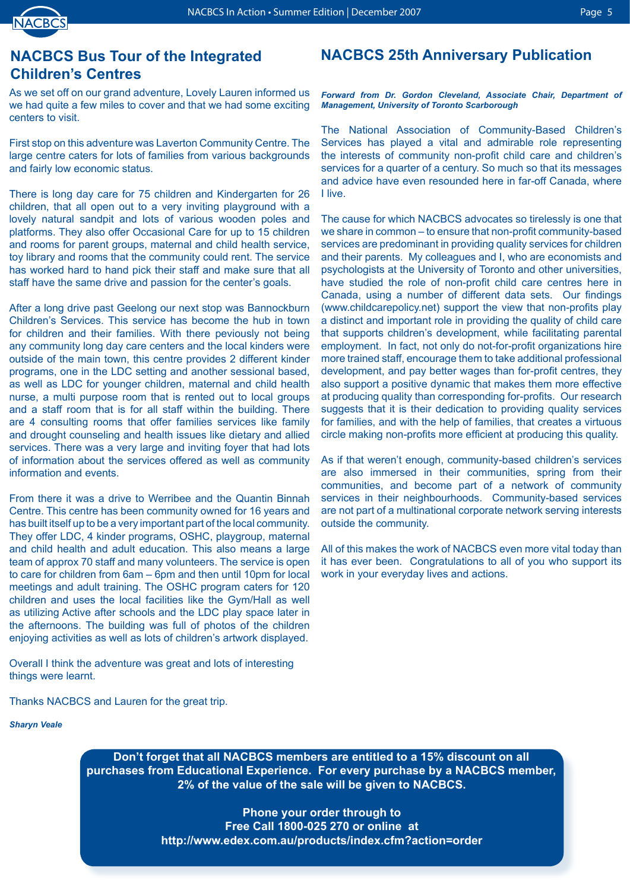

# **NACBCS Bus Tour of the Integrated Children's Centres**

As we set off on our grand adventure, Lovely Lauren informed us we had quite a few miles to cover and that we had some exciting centers to visit.

First stop on this adventure was Laverton Community Centre. The large centre caters for lots of families from various backgrounds and fairly low economic status.

There is long day care for 75 children and Kindergarten for 26 children, that all open out to a very inviting playground with a lovely natural sandpit and lots of various wooden poles and platforms. They also offer Occasional Care for up to 15 children and rooms for parent groups, maternal and child health service, toy library and rooms that the community could rent. The service has worked hard to hand pick their staff and make sure that all staff have the same drive and passion for the center's goals.

After a long drive past Geelong our next stop was Bannockburn Children's Services. This service has become the hub in town for children and their families. With there peviously not being any community long day care centers and the local kinders were outside of the main town, this centre provides 2 different kinder programs, one in the LDC setting and another sessional based, as well as LDC for younger children, maternal and child health nurse, a multi purpose room that is rented out to local groups and a staff room that is for all staff within the building. There are 4 consulting rooms that offer families services like family and drought counseling and health issues like dietary and allied services. There was a very large and inviting foyer that had lots of information about the services offered as well as community information and events.

From there it was a drive to Werribee and the Quantin Binnah Centre. This centre has been community owned for 16 years and has built itself up to be a very important part of the local community. They offer LDC, 4 kinder programs, OSHC, playgroup, maternal and child health and adult education. This also means a large team of approx 70 staff and many volunteers. The service is open to care for children from 6am – 6pm and then until 10pm for local meetings and adult training. The OSHC program caters for 120 children and uses the local facilities like the Gym/Hall as well as utilizing Active after schools and the LDC play space later in the afternoons. The building was full of photos of the children enjoying activities as well as lots of children's artwork displayed.

Overall I think the adventure was great and lots of interesting things were learnt.

Thanks NACBCS and Lauren for the great trip.

*Sharyn Veale*

### **NACBCS 25th Anniversary Publication**

*Forward from Dr. Gordon Cleveland, Associate Chair, Department of Management, University of Toronto Scarborough* 

The National Association of Community-Based Children's Services has played a vital and admirable role representing the interests of community non-profit child care and children's services for a quarter of a century. So much so that its messages and advice have even resounded here in far-off Canada, where I live.

The cause for which NACBCS advocates so tirelessly is one that we share in common – to ensure that non-profit community-based services are predominant in providing quality services for children and their parents. My colleagues and I, who are economists and psychologists at the University of Toronto and other universities, have studied the role of non-profit child care centres here in Canada, using a number of different data sets. Our findings (www.childcarepolicy.net) support the view that non-profits play a distinct and important role in providing the quality of child care that supports children's development, while facilitating parental employment. In fact, not only do not-for-profit organizations hire more trained staff, encourage them to take additional professional development, and pay better wages than for-profit centres, they also support a positive dynamic that makes them more effective at producing quality than corresponding for-profits. Our research suggests that it is their dedication to providing quality services for families, and with the help of families, that creates a virtuous circle making non-profits more efficient at producing this quality.

As if that weren't enough, community-based children's services are also immersed in their communities, spring from their communities, and become part of a network of community services in their neighbourhoods. Community-based services are not part of a multinational corporate network serving interests outside the community.

All of this makes the work of NACBCS even more vital today than it has ever been. Congratulations to all of you who support its work in your everyday lives and actions.

**Don't forget that all NACBCS members are entitled to a 15% discount on all purchases from Educational Experience. For every purchase by a NACBCS member, 2% of the value of the sale will be given to NACBCS.**

> **Phone your order through to Free Call 1800-025 270 or online at http://www.edex.com.au/products/index.cfm?action=order**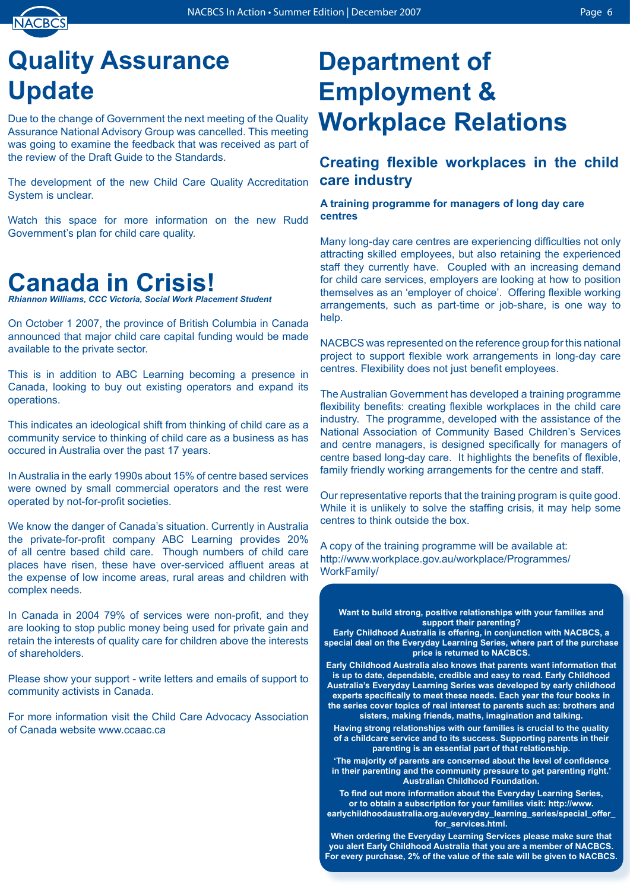

# **Quality Assurance Update**

Due to the change of Government the next meeting of the Quality Assurance National Advisory Group was cancelled. This meeting was going to examine the feedback that was received as part of the review of the Draft Guide to the Standards.

The development of the new Child Care Quality Accreditation System is unclear.

Watch this space for more information on the new Rudd Government's plan for child care quality.

# **Canada in Crisis!**

*Rhiannon Williams, CCC Victoria, Social Work Placement Student*

On October 1 2007, the province of British Columbia in Canada announced that major child care capital funding would be made available to the private sector.

This is in addition to ABC Learning becoming a presence in Canada, looking to buy out existing operators and expand its operations.

This indicates an ideological shift from thinking of child care as a community service to thinking of child care as a business as has occured in Australia over the past 17 years.

In Australia in the early 1990s about 15% of centre based services were owned by small commercial operators and the rest were operated by not-for-profit societies.

We know the danger of Canada's situation. Currently in Australia the private-for-profit company ABC Learning provides 20% of all centre based child care. Though numbers of child care places have risen, these have over-serviced affluent areas at the expense of low income areas, rural areas and children with complex needs.

In Canada in 2004 79% of services were non-profit, and they are looking to stop public money being used for private gain and retain the interests of quality care for children above the interests of shareholders.

Please show your support - write letters and emails of support to community activists in Canada.

For more information visit the Child Care Advocacy Association of Canada website www.ccaac.ca

# **Department of Employment & Workplace Relations**

# **Creating flexible workplaces in the child care industry**

### **A training programme for managers of long day care centres**

Many long-day care centres are experiencing difficulties not only attracting skilled employees, but also retaining the experienced staff they currently have. Coupled with an increasing demand for child care services, employers are looking at how to position themselves as an 'employer of choice'. Offering flexible working arrangements, such as part-time or job-share, is one way to help.

NACBCS was represented on the reference group for this national project to support flexible work arrangements in long-day care centres. Flexibility does not just benefit employees.

The Australian Government has developed a training programme flexibility benefits: creating flexible workplaces in the child care industry. The programme, developed with the assistance of the National Association of Community Based Children's Services and centre managers, is designed specifically for managers of centre based long-day care. It highlights the benefits of flexible, family friendly working arrangements for the centre and staff.

Our representative reports that the training program is quite good. While it is unlikely to solve the staffing crisis, it may help some centres to think outside the box.

A copy of the training programme will be available at: http://www.workplace.gov.au/workplace/Programmes/ WorkFamily/

**Want to build strong, positive relationships with your families and support their parenting?**

**Early Childhood Australia is offering, in conjunction with NACBCS, a special deal on the Everyday Learning Series, where part of the purchase price is returned to NACBCS.**

**Early Childhood Australia also knows that parents want information that is up to date, dependable, credible and easy to read. Early Childhood Australia's Everyday Learning Series was developed by early childhood experts specifically to meet these needs. Each year the four books in the series cover topics of real interest to parents such as: brothers and sisters, making friends, maths, imagination and talking.** 

**Having strong relationships with our families is crucial to the quality of a childcare service and to its success. Supporting parents in their parenting is an essential part of that relationship.** 

**'The majority of parents are concerned about the level of confidence in their parenting and the community pressure to get parenting right.' Australian Childhood Foundation.** 

**To find out more information about the Everyday Learning Series, or to obtain a subscription for your families visit: http://www. earlychildhoodaustralia.org.au/everyday\_learning\_series/special\_offer\_ for\_services.html.** 

**When ordering the Everyday Learning Services please make sure that you alert Early Childhood Australia that you are a member of NACBCS. For every purchase, 2% of the value of the sale will be given to NACBCS.**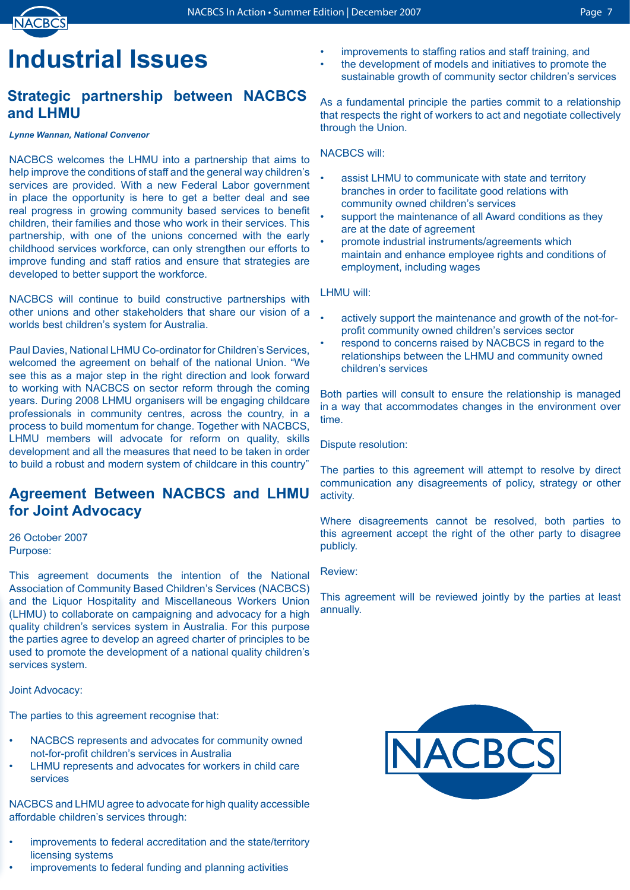

# **Industrial Issues**

# **Strategic partnership between NACBCS and LHMU**

#### *Lynne Wannan, National Convenor*

NACBCS welcomes the LHMU into a partnership that aims to help improve the conditions of staff and the general way children's services are provided. With a new Federal Labor government in place the opportunity is here to get a better deal and see real progress in growing community based services to benefit children, their families and those who work in their services. This partnership, with one of the unions concerned with the early childhood services workforce, can only strengthen our efforts to improve funding and staff ratios and ensure that strategies are developed to better support the workforce.

NACBCS will continue to build constructive partnerships with other unions and other stakeholders that share our vision of a worlds best children's system for Australia.

Paul Davies, National LHMU Co-ordinator for Children's Services, welcomed the agreement on behalf of the national Union. "We see this as a major step in the right direction and look forward to working with NACBCS on sector reform through the coming years. During 2008 LHMU organisers will be engaging childcare professionals in community centres, across the country, in a process to build momentum for change. Together with NACBCS, LHMU members will advocate for reform on quality, skills development and all the measures that need to be taken in order to build a robust and modern system of childcare in this country"

### **Agreement Between NACBCS and LHMU for Joint Advocacy**

26 October 2007 Purpose:

This agreement documents the intention of the National Association of Community Based Children's Services (NACBCS) and the Liquor Hospitality and Miscellaneous Workers Union (LHMU) to collaborate on campaigning and advocacy for a high quality children's services system in Australia. For this purpose the parties agree to develop an agreed charter of principles to be used to promote the development of a national quality children's services system.

### Joint Advocacy:

The parties to this agreement recognise that:

- NACBCS represents and advocates for community owned not-for-profit children's services in Australia •
- LHMU represents and advocates for workers in child care services •

NACBCS and LHMU agree to advocate for high quality accessible affordable children's services through:

- improvements to federal accreditation and the state/territory licensing systems •
- improvements to federal funding and planning activities •
- improvements to staffing ratios and staff training, and •
- the development of models and initiatives to promote the sustainable growth of community sector children's services •

As a fundamental principle the parties commit to a relationship that respects the right of workers to act and negotiate collectively through the Union.

#### NACBCS will:

- assist LHMU to communicate with state and territory branches in order to facilitate good relations with community owned children's services •
- support the maintenance of all Award conditions as they are at the date of agreement •
- promote industrial instruments/agreements which maintain and enhance employee rights and conditions of employment, including wages •

### LHMU will:

- actively support the maintenance and growth of the not-forprofit community owned children's services sector •
- respond to concerns raised by NACBCS in regard to the relationships between the LHMU and community owned children's services •

Both parties will consult to ensure the relationship is managed in a way that accommodates changes in the environment over time.

Dispute resolution:

The parties to this agreement will attempt to resolve by direct communication any disagreements of policy, strategy or other activity.

Where disagreements cannot be resolved, both parties to this agreement accept the right of the other party to disagree publicly.

#### Review:

This agreement will be reviewed jointly by the parties at least annually.

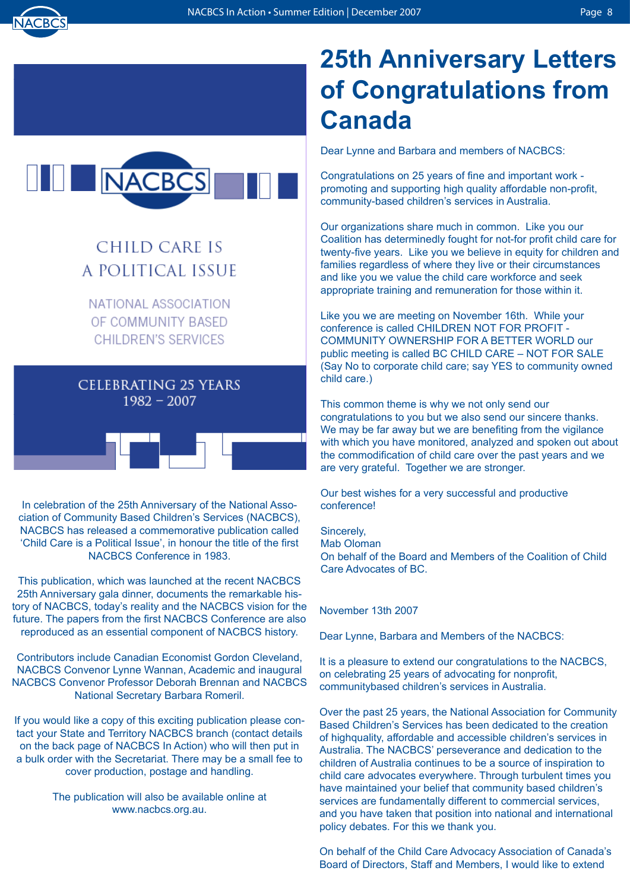



# CHILD CARE IS A POLITICAL ISSUE

NATIONAL ASSOCIATION OF COMMUNITY BASED **CHILDREN'S SERVICES** 

# CELEBRATING 25 YEARS  $1982 - 2007$



In celebration of the 25th Anniversary of the National Association of Community Based Children's Services (NACBCS), NACBCS has released a commemorative publication called 'Child Care is a Political Issue', in honour the title of the first NACBCS Conference in 1983.

This publication, which was launched at the recent NACBCS 25th Anniversary gala dinner, documents the remarkable history of NACBCS, today's reality and the NACBCS vision for the future. The papers from the first NACBCS Conference are also reproduced as an essential component of NACBCS history.

Contributors include Canadian Economist Gordon Cleveland, NACBCS Convenor Lynne Wannan, Academic and inaugural NACBCS Convenor Professor Deborah Brennan and NACBCS National Secretary Barbara Romeril.

If you would like a copy of this exciting publication please contact your State and Territory NACBCS branch (contact details on the back page of NACBCS In Action) who will then put in a bulk order with the Secretariat. There may be a small fee to cover production, postage and handling.

> The publication will also be available online at www.nacbcs.org.au.

# **25th Anniversary Letters of Congratulations from Canada**

Dear Lynne and Barbara and members of NACBCS:

Congratulations on 25 years of fine and important work promoting and supporting high quality affordable non-profit, community-based children's services in Australia.

Our organizations share much in common. Like you our Coalition has determinedly fought for not-for profit child care for twenty-five years. Like you we believe in equity for children and families regardless of where they live or their circumstances and like you we value the child care workforce and seek appropriate training and remuneration for those within it.

Like you we are meeting on November 16th. While your conference is called CHILDREN NOT FOR PROFIT - COMMUNITY OWNERSHIP FOR A BETTER WORLD our public meeting is called BC CHILD CARE – NOT FOR SALE (Say No to corporate child care; say YES to community owned child care.)

This common theme is why we not only send our congratulations to you but we also send our sincere thanks. We may be far away but we are benefiting from the vigilance with which you have monitored, analyzed and spoken out about the commodification of child care over the past years and we are very grateful. Together we are stronger.

Our best wishes for a very successful and productive conference!

Sincerely, Mab Oloman On behalf of the Board and Members of the Coalition of Child Care Advocates of BC.

November 13th 2007

Dear Lynne, Barbara and Members of the NACBCS:

It is a pleasure to extend our congratulations to the NACBCS, on celebrating 25 years of advocating for nonprofit, communitybased children's services in Australia.

Over the past 25 years, the National Association for Community Based Children's Services has been dedicated to the creation of highquality, affordable and accessible children's services in Australia. The NACBCS' perseverance and dedication to the children of Australia continues to be a source of inspiration to child care advocates everywhere. Through turbulent times you have maintained your belief that community based children's services are fundamentally different to commercial services, and you have taken that position into national and international policy debates. For this we thank you.

On behalf of the Child Care Advocacy Association of Canada's Board of Directors, Staff and Members, I would like to extend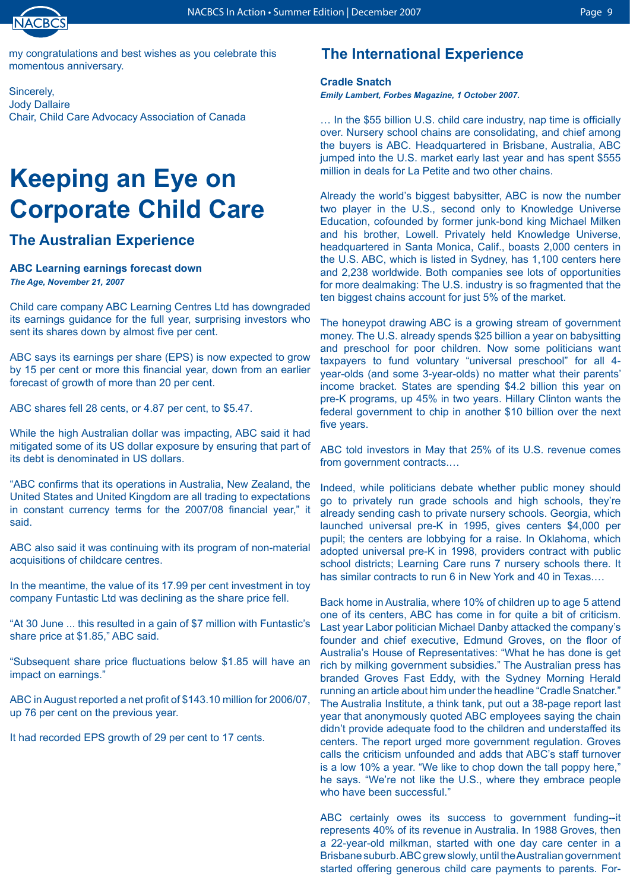

my congratulations and best wishes as you celebrate this momentous anniversary.

Sincerely, Jody Dallaire Chair, Child Care Advocacy Association of Canada

# **Keeping an Eye on Corporate Child Care**

# **The Australian Experience**

#### **ABC Learning earnings forecast down** *The Age, November 21, 2007*

Child care company ABC Learning Centres Ltd has downgraded its earnings guidance for the full year, surprising investors who sent its shares down by almost five per cent.

ABC says its earnings per share (EPS) is now expected to grow by 15 per cent or more this financial year, down from an earlier forecast of growth of more than 20 per cent.

ABC shares fell 28 cents, or 4.87 per cent, to \$5.47.

While the high Australian dollar was impacting, ABC said it had mitigated some of its US dollar exposure by ensuring that part of its debt is denominated in US dollars.

"ABC confirms that its operations in Australia, New Zealand, the United States and United Kingdom are all trading to expectations in constant currency terms for the 2007/08 financial year," it said.

ABC also said it was continuing with its program of non-material acquisitions of childcare centres.

In the meantime, the value of its 17.99 per cent investment in toy company Funtastic Ltd was declining as the share price fell.

"At 30 June ... this resulted in a gain of \$7 million with Funtastic's share price at \$1.85," ABC said.

"Subsequent share price fluctuations below \$1.85 will have an impact on earnings."

ABC in August reported a net profit of \$143.10 million for 2006/07, up 76 per cent on the previous year.

It had recorded EPS growth of 29 per cent to 17 cents.

# **The International Experience**

### **Cradle Snatch**

*Emily Lambert, Forbes Magazine, 1 October 2007.*

… In the \$55 billion U.S. child care industry, nap time is officially over. Nursery school chains are consolidating, and chief among the buyers is ABC. Headquartered in Brisbane, Australia, ABC jumped into the U.S. market early last year and has spent \$555 million in deals for La Petite and two other chains.

Already the world's biggest babysitter, ABC is now the number two player in the U.S., second only to Knowledge Universe Education, cofounded by former junk-bond king Michael Milken and his brother, Lowell. Privately held Knowledge Universe, headquartered in Santa Monica, Calif., boasts 2,000 centers in the U.S. ABC, which is listed in Sydney, has 1,100 centers here and 2,238 worldwide. Both companies see lots of opportunities for more dealmaking: The U.S. industry is so fragmented that the ten biggest chains account for just 5% of the market.

The honeypot drawing ABC is a growing stream of government money. The U.S. already spends \$25 billion a year on babysitting and preschool for poor children. Now some politicians want taxpayers to fund voluntary "universal preschool" for all 4 year-olds (and some 3-year-olds) no matter what their parents' income bracket. States are spending \$4.2 billion this year on pre-K programs, up 45% in two years. Hillary Clinton wants the federal government to chip in another \$10 billion over the next five years.

ABC told investors in May that 25% of its U.S. revenue comes from government contracts....

Indeed, while politicians debate whether public money should go to privately run grade schools and high schools, they're already sending cash to private nursery schools. Georgia, which launched universal pre-K in 1995, gives centers \$4,000 per pupil; the centers are lobbying for a raise. In Oklahoma, which adopted universal pre-K in 1998, providers contract with public school districts; Learning Care runs 7 nursery schools there. It has similar contracts to run 6 in New York and 40 in Texas....

Back home in Australia, where 10% of children up to age 5 attend one of its centers, ABC has come in for quite a bit of criticism. Last year Labor politician Michael Danby attacked the company's founder and chief executive, Edmund Groves, on the floor of Australia's House of Representatives: "What he has done is get rich by milking government subsidies." The Australian press has branded Groves Fast Eddy, with the Sydney Morning Herald running an article about him under the headline "Cradle Snatcher." The Australia Institute, a think tank, put out a 38-page report last year that anonymously quoted ABC employees saying the chain didn't provide adequate food to the children and understaffed its centers. The report urged more government regulation. Groves calls the criticism unfounded and adds that ABC's staff turnover is a low 10% a year. "We like to chop down the tall poppy here," he says. "We're not like the U.S., where they embrace people who have been successful."

ABC certainly owes its success to government funding--it represents 40% of its revenue in Australia. In 1988 Groves, then a 22-year-old milkman, started with one day care center in a Brisbane suburb. ABC grew slowly, until the Australian government started offering generous child care payments to parents. For-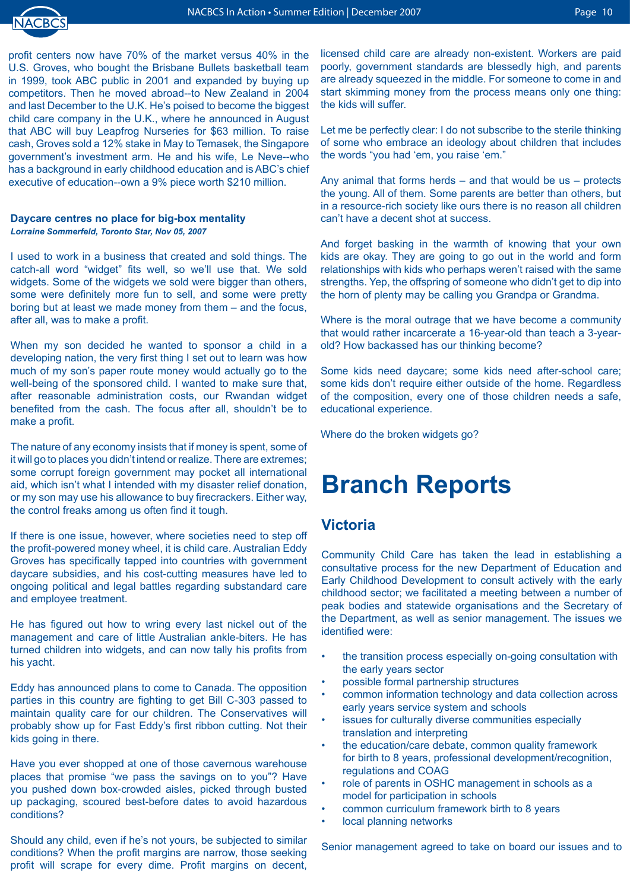

profit centers now have 70% of the market versus 40% in the U.S. Groves, who bought the Brisbane Bullets basketball team in 1999, took ABC public in 2001 and expanded by buying up competitors. Then he moved abroad--to New Zealand in 2004 and last December to the U.K. He's poised to become the biggest child care company in the U.K., where he announced in August that ABC will buy Leapfrog Nurseries for \$63 million. To raise cash, Groves sold a 12% stake in May to Temasek, the Singapore government's investment arm. He and his wife, Le Neve--who has a background in early childhood education and is ABC's chief executive of education--own a 9% piece worth \$210 million.

#### **Daycare centres no place for big-box mentality** *Lorraine Sommerfeld, Toronto Star, Nov 05, 2007*

I used to work in a business that created and sold things. The catch-all word "widget" fits well, so we'll use that. We sold widgets. Some of the widgets we sold were bigger than others, some were definitely more fun to sell, and some were pretty boring but at least we made money from them – and the focus, after all, was to make a profit.

When my son decided he wanted to sponsor a child in a developing nation, the very first thing I set out to learn was how much of my son's paper route money would actually go to the well-being of the sponsored child. I wanted to make sure that, after reasonable administration costs, our Rwandan widget benefited from the cash. The focus after all, shouldn't be to make a profit.

The nature of any economy insists that if money is spent, some of it will go to places you didn't intend or realize. There are extremes; some corrupt foreign government may pocket all international aid, which isn't what I intended with my disaster relief donation, or my son may use his allowance to buy firecrackers. Either way, the control freaks among us often find it tough.

If there is one issue, however, where societies need to step off the profit-powered money wheel, it is child care. Australian Eddy Groves has specifically tapped into countries with government daycare subsidies, and his cost-cutting measures have led to ongoing political and legal battles regarding substandard care and employee treatment.

He has figured out how to wring every last nickel out of the management and care of little Australian ankle-biters. He has turned children into widgets, and can now tally his profits from his yacht.

Eddy has announced plans to come to Canada. The opposition parties in this country are fighting to get Bill C-303 passed to maintain quality care for our children. The Conservatives will probably show up for Fast Eddy's first ribbon cutting. Not their kids going in there.

Have you ever shopped at one of those cavernous warehouse places that promise "we pass the savings on to you"? Have you pushed down box-crowded aisles, picked through busted up packaging, scoured best-before dates to avoid hazardous conditions?

Should any child, even if he's not yours, be subjected to similar conditions? When the profit margins are narrow, those seeking profit will scrape for every dime. Profit margins on decent, licensed child care are already non-existent. Workers are paid poorly, government standards are blessedly high, and parents are already squeezed in the middle. For someone to come in and start skimming money from the process means only one thing: the kids will suffer.

Let me be perfectly clear: I do not subscribe to the sterile thinking of some who embrace an ideology about children that includes the words "you had 'em, you raise 'em."

Any animal that forms herds – and that would be us – protects the young. All of them. Some parents are better than others, but in a resource-rich society like ours there is no reason all children can't have a decent shot at success.

And forget basking in the warmth of knowing that your own kids are okay. They are going to go out in the world and form relationships with kids who perhaps weren't raised with the same strengths. Yep, the offspring of someone who didn't get to dip into the horn of plenty may be calling you Grandpa or Grandma.

Where is the moral outrage that we have become a community that would rather incarcerate a 16-year-old than teach a 3-yearold? How backassed has our thinking become?

Some kids need daycare; some kids need after-school care; some kids don't require either outside of the home. Regardless of the composition, every one of those children needs a safe, educational experience.

Where do the broken widgets go?

# **Branch Reports**

### **Victoria**

Community Child Care has taken the lead in establishing a consultative process for the new Department of Education and Early Childhood Development to consult actively with the early childhood sector; we facilitated a meeting between a number of peak bodies and statewide organisations and the Secretary of the Department, as well as senior management. The issues we identified were:

- the transition process especially on-going consultation with the early years sector •
- possible formal partnership structures •
- common information technology and data collection across early years service system and schools •
- issues for culturally diverse communities especially translation and interpreting •
- the education/care debate, common quality framework for birth to 8 years, professional development/recognition, regulations and COAG •
- role of parents in OSHC management in schools as a model for participation in schools •
- common curriculum framework birth to 8 years •
- local planning networks •

Senior management agreed to take on board our issues and to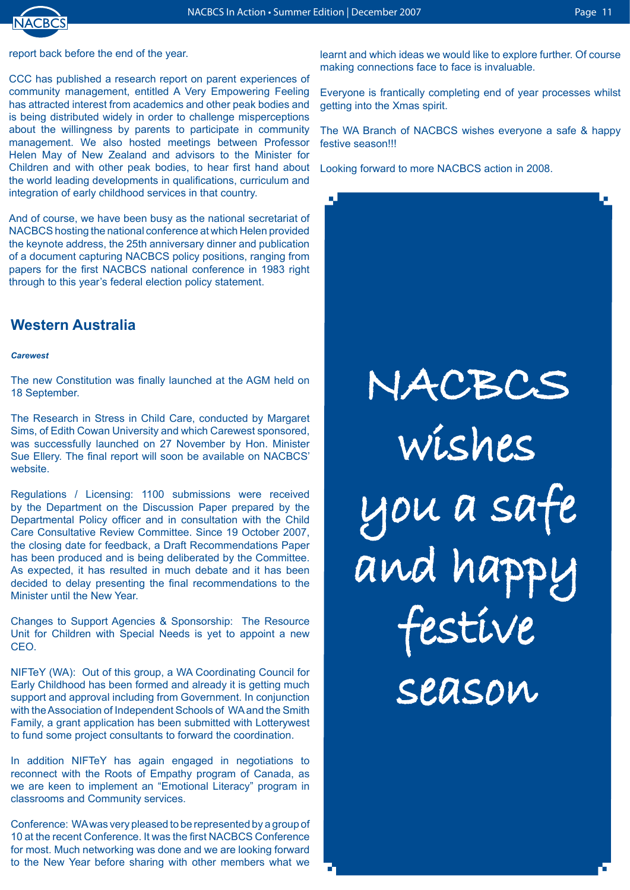

 $\mathbf{u}$  .

report back before the end of the year.

CCC has published a research report on parent experiences of community management, entitled A Very Empowering Feeling has attracted interest from academics and other peak bodies and is being distributed widely in order to challenge misperceptions about the willingness by parents to participate in community management. We also hosted meetings between Professor Helen May of New Zealand and advisors to the Minister for Children and with other peak bodies, to hear first hand about the world leading developments in qualifications, curriculum and integration of early childhood services in that country.

And of course, we have been busy as the national secretariat of NACBCS hosting the national conference at which Helen provided the keynote address, the 25th anniversary dinner and publication of a document capturing NACBCS policy positions, ranging from papers for the first NACBCS national conference in 1983 right through to this year's federal election policy statement.

### **Western Australia**

#### *Carewest*

The new Constitution was finally launched at the AGM held on 18 September.

The Research in Stress in Child Care, conducted by Margaret Sims, of Edith Cowan University and which Carewest sponsored, was successfully launched on 27 November by Hon. Minister Sue Ellery. The final report will soon be available on NACBCS' website.

Regulations / Licensing: 1100 submissions were received by the Department on the Discussion Paper prepared by the Departmental Policy officer and in consultation with the Child Care Consultative Review Committee. Since 19 October 2007, the closing date for feedback, a Draft Recommendations Paper has been produced and is being deliberated by the Committee. As expected, it has resulted in much debate and it has been decided to delay presenting the final recommendations to the Minister until the New Year.

Changes to Support Agencies & Sponsorship: The Resource Unit for Children with Special Needs is yet to appoint a new CEO.

NIFTeY (WA): Out of this group, a WA Coordinating Council for Early Childhood has been formed and already it is getting much support and approval including from Government. In conjunction with the Association of Independent Schools of WA and the Smith Family, a grant application has been submitted with Lotterywest to fund some project consultants to forward the coordination.

In addition NIFTeY has again engaged in negotiations to reconnect with the Roots of Empathy program of Canada, as we are keen to implement an "Emotional Literacy" program in classrooms and Community services.

Conference: WA was very pleased to be represented by a group of 10 at the recent Conference. It was the first NACBCS Conference for most. Much networking was done and we are looking forward to the New Year before sharing with other members what we

learnt and which ideas we would like to explore further. Of course making connections face to face is invaluable.

Everyone is frantically completing end of year processes whilst getting into the Xmas spirit.

The WA Branch of NACBCS wishes everyone a safe & happy festive season!!!

Looking forward to more NACBCS action in 2008.

NACBCS wishes you a safe and happy festive season